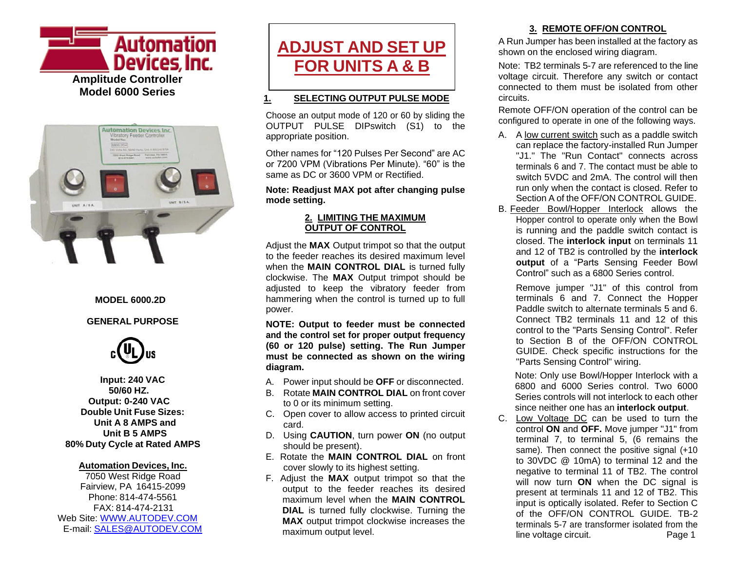



#### **MODEL 6000.2D**

#### **GENERAL PURPOSE**



**Input: 240 VAC 50/60 HZ. Output: 0-240 VAC Double Unit Fuse Sizes: Unit A 8 AMPS and Unit B 5 AMPS 80% Duty Cycle at Rated AMPS**

#### **Automation Devices, Inc.**

7050 West Ridge Road Fairview, PA 16415-2099 Phone: 814-474-5561 FAX: 814-474-2131 Web Site: [WWW.AUTODEV.COM](http://www.autodev.com/) E-mail: [SALES@AUTODEV.COM](mailto:SALES@AUTODEV.COM)



#### **1. SELECTING OUTPUT PULSE MODE**

Choose an output mode of 120 or 60 by sliding the OUTPUT PULSE DIPswitch (S1) to the appropriate position.

Other names for "120 Pulses Per Second" are AC or 7200 VPM (Vibrations Per Minute). "60" is the same as DC or 3600 VPM or Rectified.

#### **Note: Readjust MAX pot after changing pulse mode setting.**

#### **2. LIMITING THE MAXIMUM OUTPUT OF CONTROL**

Adjust the **MAX** Output trimpot so that the output to the feeder reaches its desired maximum level when the **MAIN CONTROL DIAL** is turned fully clockwise. The **MAX** Output trimpot should be adjusted to keep the vibratory feeder from hammering when the control is turned up to full power.

**NOTE: Output to feeder must be connected and the control set for proper output frequency (60 or 120 pulse) setting. The Run Jumper must be connected as shown on the wiring diagram.**

- A. Power input should be **OFF** or disconnected.
- B. Rotate **MAIN CONTROL DIAL** on front cover to 0 or its minimum setting.
- C. Open cover to allow access to printed circuit card.
- D. Using **CAUTION**, turn power **ON** (no output should be present).
- E. Rotate the **MAIN CONTROL DIAL** on front cover slowly to its highest setting.
- F. Adjust the **MAX** output trimpot so that the output to the feeder reaches its desired maximum level when the **MAIN CONTROL DIAL** is turned fully clockwise. Turning the **MAX** output trimpot clockwise increases the maximum output level.

#### **3. REMOTE OFF/ON CONTROL**

A Run Jumper has been installed at the factory as shown on the enclosed wiring diagram.

Note: TB2 terminals 5-7 are referenced to the line voltage circuit. Therefore any switch or contact connected to them must be isolated from other circuits.

Remote OFF/ON operation of the control can be configured to operate in one of the following ways.

- A. A low current switch such as a paddle switch can replace the factory-installed Run Jumper "J1." The "Run Contact" connects across terminals 6 and 7. The contact must be able to switch 5VDC and 2mA. The control will then run only when the contact is closed. Refer to Section A of the OFF/ON CONTROL GUIDE.
- B. Feeder Bowl/Hopper Interlock allows the Hopper control to operate only when the Bowl is running and the paddle switch contact is closed. The **interlock input** on terminals 11 and 12 of TB2 is controlled by the **interlock output** of a "Parts Sensing Feeder Bowl Control" such as a 6800 Series control.

Remove jumper "J1" of this control from terminals 6 and 7. Connect the Hopper Paddle switch to alternate terminals 5 and 6. Connect TB2 terminals 11 and 12 of this control to the "Parts Sensing Control". Refer to Section B of the OFF/ON CONTROL GUIDE. Check specific instructions for the "Parts Sensing Control" wiring.

Note: Only use Bowl/Hopper Interlock with a 6800 and 6000 Series control. Two 6000 Series controls will not interlock to each other since neither one has an **interlock output**.

C. Low Voltage DC can be used to turn the control **ON** and **OFF.** Move jumper "J1" from terminal 7, to terminal 5, (6 remains the same). Then connect the positive signal (+10) to 30VDC @ 10mA) to terminal 12 and the negative to terminal 11 of TB2. The control will now turn **ON** when the DC signal is present at terminals 11 and 12 of TB2. This input is optically isolated. Refer to Section C of the OFF/ON CONTROL GUIDE. TB-2 terminals 5-7 are transformer isolated from the line voltage circuit. Page 1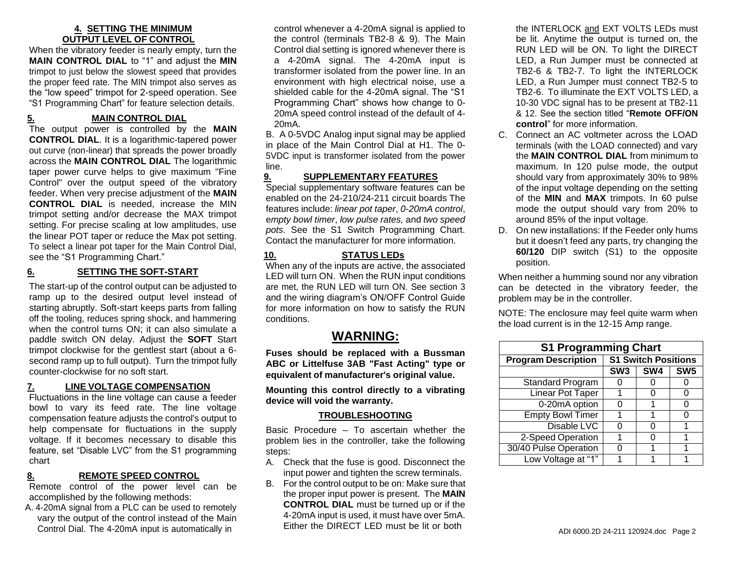#### **4. SETTING THE MINIMUM OUTPUT LEVEL OF CONTROL**

When the vibratory feeder is nearly empty, turn the **MAIN CONTROL DIAL** to "1" and adjust the **MIN** trimpot to just below the slowest speed that provides the proper feed rate. The MIN trimpot also serves as the "low speed" trimpot for 2-speed operation. See "S1 Programming Chart" for feature selection details.

#### **5. MAIN CONTROL DIAL**

The output power is controlled by the **MAIN CONTROL DIAL**. It is a logarithmic-tapered power out curve (non-linear) that spreads the power broadly across the **MAIN CONTROL DIAL** The logarithmic taper power curve helps to give maximum "Fine Control" over the output speed of the vibratory feeder. When very precise adjustment of the **MAIN CONTROL DIAL** is needed, increase the MIN trimpot setting and/or decrease the MAX trimpot setting. For precise scaling at low amplitudes, use the linear POT taper or reduce the Max pot setting. To select a linear pot taper for the Main Control Dial, see the "S1 Programming Chart."

#### **6. SETTING THE SOFT-START**

The start-up of the control output can be adjusted to ramp up to the desired output level instead of starting abruptly. Soft-start keeps parts from falling off the tooling, reduces spring shock, and hammering when the control turns ON; it can also simulate a paddle switch ON delay. Adjust the **SOFT** Start trimpot clockwise for the gentlest start (about a 6 second ramp up to full output). Turn the trimpot fully counter-clockwise for no soft start.

#### **7. LINE VOLTAGE COMPENSATION**

Fluctuations in the line voltage can cause a feeder bowl to vary its feed rate. The line voltage compensation feature adjusts the control's output to help compensate for fluctuations in the supply voltage. If it becomes necessary to disable this feature, set "Disable LVC" from the S1 programming chart

#### **8. REMOTE SPEED CONTROL**

Remote control of the power level can be accomplished by the following methods:

A. 4-20mA signal from a PLC can be used to remotely vary the output of the control instead of the Main Control Dial. The 4-20mA input is automatically in

control whenever a 4-20mA signal is applied to the control (terminals TB2-8 & 9). The Main Control dial setting is ignored whenever there is a 4-20mA signal. The 4-20mA input is transformer isolated from the power line. In an environment with high electrical noise, use a shielded cable for the 4-20mA signal. The "S1 Programming Chart" shows how change to 0- 20mA speed control instead of the default of 4- 20mA.

B. A 0-5VDC Analog input signal may be applied in place of the Main Control Dial at H1. The 0- 5VDC input is transformer isolated from the power line.

#### **9. SUPPLEMENTARY FEATURES**

Special supplementary software features can be enabled on the 24-210/24-211 circuit boards The features include: *linear pot taper*, *0-20mA control*, e*mpty bowl timer*, *low pulse rates,* and *two speed pots*. See the S1 Switch Programming Chart. Contact the manufacturer for more information.

#### **10. STATUS LEDs**

When any of the inputs are active, the associated LED will turn ON. When the RUN input conditions are met, the RUN LED will turn ON. See section 3 and the wiring diagram's ON/OFF Control Guide for more information on how to satisfy the RUN conditions.

## **WARNING:**

**Fuses should be replaced with a Bussman ABC or Littelfuse 3AB "Fast Acting" type or equivalent of manufacturer's original value.**

**Mounting this control directly to a vibrating device will void the warranty.**

#### **TROUBLESHOOTING**

Basic Procedure – To ascertain whether the problem lies in the controller, take the following steps:

- A. Check that the fuse is good. Disconnect the input power and tighten the screw terminals.
- B. For the control output to be on: Make sure that the proper input power is present. The **MAIN CONTROL DIAL** must be turned up or if the 4-20mA input is used, it must have over 5mA. Either the DIRECT LED must be lit or both

the INTERLOCK and EXT VOLTS LEDs must be lit. Anytime the output is turned on, the RUN LED will be ON. To light the DIRECT LED, a Run Jumper must be connected at TB2-6 & TB2-7. To light the INTERLOCK LED, a Run Jumper must connect TB2-5 to TB2-6. To illuminate the EXT VOLTS LED, a 10-30 VDC signal has to be present at TB2-11 & 12. See the section titled "**Remote OFF/ON control**" for more information.

- C. Connect an AC voltmeter across the LOAD terminals (with the LOAD connected) and vary the **MAIN CONTROL DIAL** from minimum to maximum. In 120 pulse mode, the output should vary from approximately 30% to 98% of the input voltage depending on the setting of the **MIN** and **MAX** trimpots. In 60 pulse mode the output should vary from 20% to around 85% of the input voltage.
- D. On new installations: If the Feeder only hums but it doesn't feed any parts, try changing the **60/120** DIP switch (S1) to the opposite position.

When neither a humming sound nor any vibration can be detected in the vibratory feeder, the problem may be in the controller.

NOTE: The enclosure may feel quite warm when the load current is in the 12-15 Amp range.

| <b>S1 Programming Chart</b> |                            |     |                 |  |  |
|-----------------------------|----------------------------|-----|-----------------|--|--|
| <b>Program Description</b>  | <b>S1 Switch Positions</b> |     |                 |  |  |
|                             | SW <sub>3</sub>            | SW4 | SW <sub>5</sub> |  |  |
| Standard Program            |                            |     |                 |  |  |
| <b>Linear Pot Taper</b>     |                            |     |                 |  |  |
| 0-20mA option               | O                          |     | 0               |  |  |
| <b>Empty Bowl Timer</b>     |                            |     | O               |  |  |
| Disable LVC                 | O                          | O   | 1               |  |  |
| 2-Speed Operation           |                            |     |                 |  |  |
| 30/40 Pulse Operation       |                            |     |                 |  |  |
| Low Voltage at "1"          |                            |     |                 |  |  |